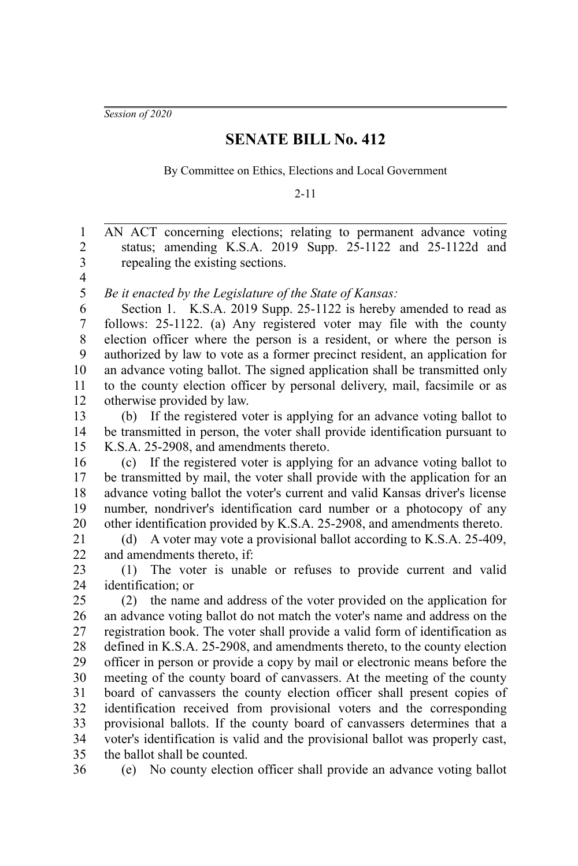*Session of 2020*

## **SENATE BILL No. 412**

By Committee on Ethics, Elections and Local Government

2-11

AN ACT concerning elections; relating to permanent advance voting status; amending K.S.A. 2019 Supp. 25-1122 and 25-1122d and repealing the existing sections. 1 2 3

4 5

*Be it enacted by the Legislature of the State of Kansas:*

Section 1. K.S.A. 2019 Supp. 25-1122 is hereby amended to read as follows: 25-1122. (a) Any registered voter may file with the county election officer where the person is a resident, or where the person is authorized by law to vote as a former precinct resident, an application for an advance voting ballot. The signed application shall be transmitted only to the county election officer by personal delivery, mail, facsimile or as otherwise provided by law. 6 7 8 9 10 11 12

(b) If the registered voter is applying for an advance voting ballot to be transmitted in person, the voter shall provide identification pursuant to K.S.A. 25-2908, and amendments thereto. 13 14 15

(c) If the registered voter is applying for an advance voting ballot to be transmitted by mail, the voter shall provide with the application for an advance voting ballot the voter's current and valid Kansas driver's license number, nondriver's identification card number or a photocopy of any other identification provided by K.S.A. 25-2908, and amendments thereto. 16 17 18 19 20

(d) A voter may vote a provisional ballot according to K.S.A. 25-409, and amendments thereto, if: 21 22

(1) The voter is unable or refuses to provide current and valid identification; or 23 24

(2) the name and address of the voter provided on the application for an advance voting ballot do not match the voter's name and address on the registration book. The voter shall provide a valid form of identification as defined in K.S.A. 25-2908, and amendments thereto, to the county election officer in person or provide a copy by mail or electronic means before the meeting of the county board of canvassers. At the meeting of the county board of canvassers the county election officer shall present copies of identification received from provisional voters and the corresponding provisional ballots. If the county board of canvassers determines that a voter's identification is valid and the provisional ballot was properly cast, the ballot shall be counted. 25 26 27 28 29 30 31 32 33 34 35

36

(e) No county election officer shall provide an advance voting ballot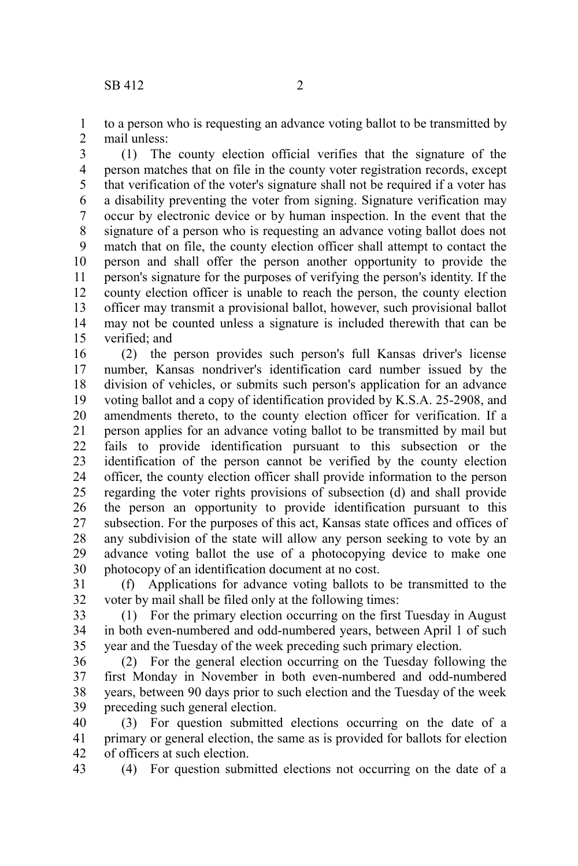to a person who is requesting an advance voting ballot to be transmitted by mail unless: 1 2

(1) The county election official verifies that the signature of the person matches that on file in the county voter registration records, except that verification of the voter's signature shall not be required if a voter has a disability preventing the voter from signing. Signature verification may occur by electronic device or by human inspection. In the event that the signature of a person who is requesting an advance voting ballot does not match that on file, the county election officer shall attempt to contact the person and shall offer the person another opportunity to provide the person's signature for the purposes of verifying the person's identity. If the county election officer is unable to reach the person, the county election officer may transmit a provisional ballot, however, such provisional ballot may not be counted unless a signature is included therewith that can be verified; and 3 4 5 6 7 8 9 10 11 12 13 14 15

(2) the person provides such person's full Kansas driver's license number, Kansas nondriver's identification card number issued by the division of vehicles, or submits such person's application for an advance voting ballot and a copy of identification provided by K.S.A. 25-2908, and amendments thereto, to the county election officer for verification. If a person applies for an advance voting ballot to be transmitted by mail but fails to provide identification pursuant to this subsection or the identification of the person cannot be verified by the county election officer, the county election officer shall provide information to the person regarding the voter rights provisions of subsection (d) and shall provide the person an opportunity to provide identification pursuant to this subsection. For the purposes of this act, Kansas state offices and offices of any subdivision of the state will allow any person seeking to vote by an advance voting ballot the use of a photocopying device to make one photocopy of an identification document at no cost. 16 17 18 19 20 21 22 23 24 25 26 27 28 29 30

(f) Applications for advance voting ballots to be transmitted to the voter by mail shall be filed only at the following times: 31 32

(1) For the primary election occurring on the first Tuesday in August in both even-numbered and odd-numbered years, between April 1 of such year and the Tuesday of the week preceding such primary election. 33 34 35

(2) For the general election occurring on the Tuesday following the first Monday in November in both even-numbered and odd-numbered years, between 90 days prior to such election and the Tuesday of the week preceding such general election. 36 37 38 39

(3) For question submitted elections occurring on the date of a primary or general election, the same as is provided for ballots for election of officers at such election. 40 41 42

(4) For question submitted elections not occurring on the date of a 43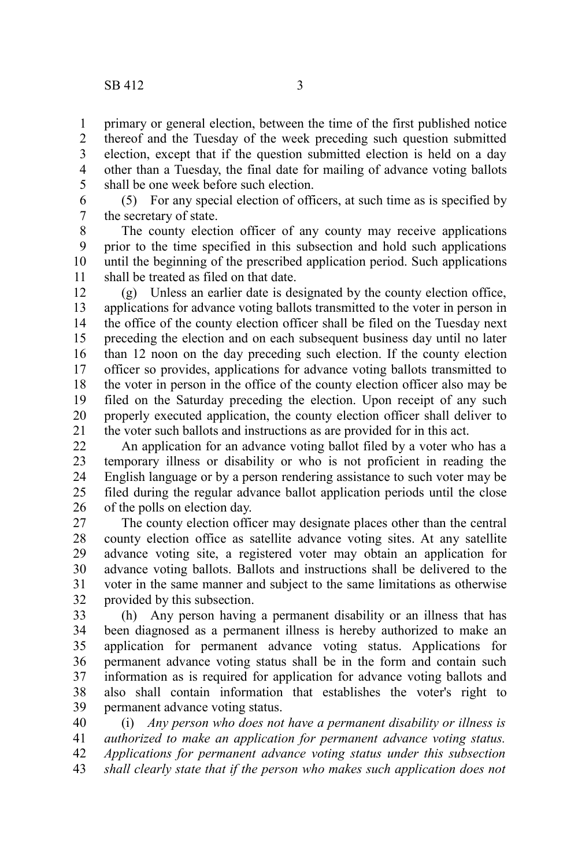primary or general election, between the time of the first published notice thereof and the Tuesday of the week preceding such question submitted election, except that if the question submitted election is held on a day other than a Tuesday, the final date for mailing of advance voting ballots shall be one week before such election. 1 2 3 4 5

(5) For any special election of officers, at such time as is specified by the secretary of state. 6 7

The county election officer of any county may receive applications prior to the time specified in this subsection and hold such applications until the beginning of the prescribed application period. Such applications shall be treated as filed on that date. 8 9 10 11

(g) Unless an earlier date is designated by the county election office, applications for advance voting ballots transmitted to the voter in person in the office of the county election officer shall be filed on the Tuesday next preceding the election and on each subsequent business day until no later than 12 noon on the day preceding such election. If the county election officer so provides, applications for advance voting ballots transmitted to the voter in person in the office of the county election officer also may be filed on the Saturday preceding the election. Upon receipt of any such properly executed application, the county election officer shall deliver to the voter such ballots and instructions as are provided for in this act. 12 13 14 15 16 17 18 19 20 21

An application for an advance voting ballot filed by a voter who has a temporary illness or disability or who is not proficient in reading the English language or by a person rendering assistance to such voter may be filed during the regular advance ballot application periods until the close of the polls on election day. 22 23 24 25 26

The county election officer may designate places other than the central county election office as satellite advance voting sites. At any satellite advance voting site, a registered voter may obtain an application for advance voting ballots. Ballots and instructions shall be delivered to the voter in the same manner and subject to the same limitations as otherwise provided by this subsection. 27 28 29 30 31 32

(h) Any person having a permanent disability or an illness that has been diagnosed as a permanent illness is hereby authorized to make an application for permanent advance voting status. Applications for permanent advance voting status shall be in the form and contain such information as is required for application for advance voting ballots and also shall contain information that establishes the voter's right to permanent advance voting status. 33 34 35 36 37 38 39

(i) *Any person who does not have a permanent disability or illness is authorized to make an application for permanent advance voting status. Applications for permanent advance voting status under this subsection shall clearly state that if the person who makes such application does not* 40 41 42 43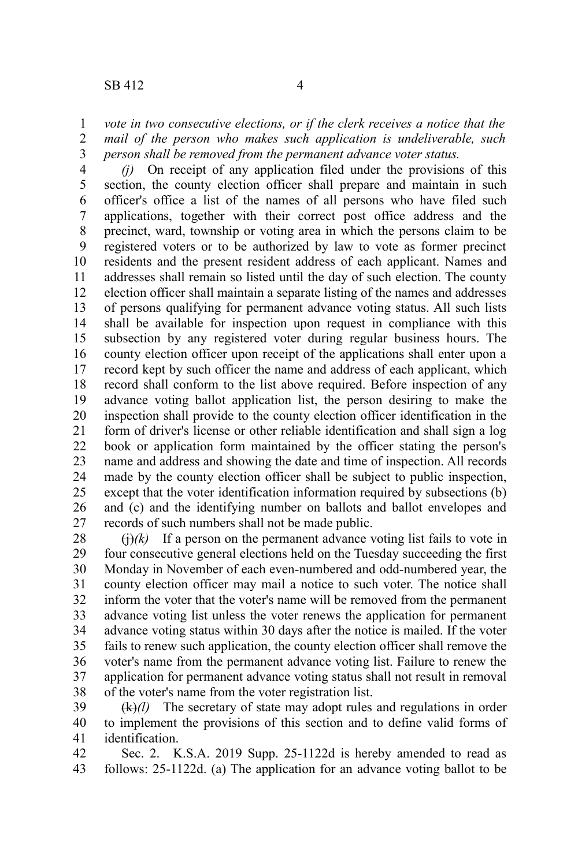*(j)* On receipt of any application filed under the provisions of this section, the county election officer shall prepare and maintain in such officer's office a list of the names of all persons who have filed such applications, together with their correct post office address and the precinct, ward, township or voting area in which the persons claim to be registered voters or to be authorized by law to vote as former precinct residents and the present resident address of each applicant. Names and addresses shall remain so listed until the day of such election. The county election officer shall maintain a separate listing of the names and addresses of persons qualifying for permanent advance voting status. All such lists shall be available for inspection upon request in compliance with this subsection by any registered voter during regular business hours. The county election officer upon receipt of the applications shall enter upon a record kept by such officer the name and address of each applicant, which record shall conform to the list above required. Before inspection of any advance voting ballot application list, the person desiring to make the inspection shall provide to the county election officer identification in the form of driver's license or other reliable identification and shall sign a log book or application form maintained by the officer stating the person's name and address and showing the date and time of inspection. All records made by the county election officer shall be subject to public inspection, except that the voter identification information required by subsections (b) and (c) and the identifying number on ballots and ballot envelopes and records of such numbers shall not be made public. 4 5 6 7 8 9 10 11 12 13 14 15 16 17 18 19 20 21 22 23 24 25 26 27

 $\Theta(k)$  If a person on the permanent advance voting list fails to vote in four consecutive general elections held on the Tuesday succeeding the first Monday in November of each even-numbered and odd-numbered year, the county election officer may mail a notice to such voter. The notice shall inform the voter that the voter's name will be removed from the permanent advance voting list unless the voter renews the application for permanent advance voting status within 30 days after the notice is mailed. If the voter fails to renew such application, the county election officer shall remove the voter's name from the permanent advance voting list. Failure to renew the application for permanent advance voting status shall not result in removal of the voter's name from the voter registration list. 28 29 30 31 32 33 34 35 36 37 38

(k)*(l)* The secretary of state may adopt rules and regulations in order to implement the provisions of this section and to define valid forms of identification. 39 40 41

Sec. 2. K.S.A. 2019 Supp. 25-1122d is hereby amended to read as follows: 25-1122d. (a) The application for an advance voting ballot to be 42 43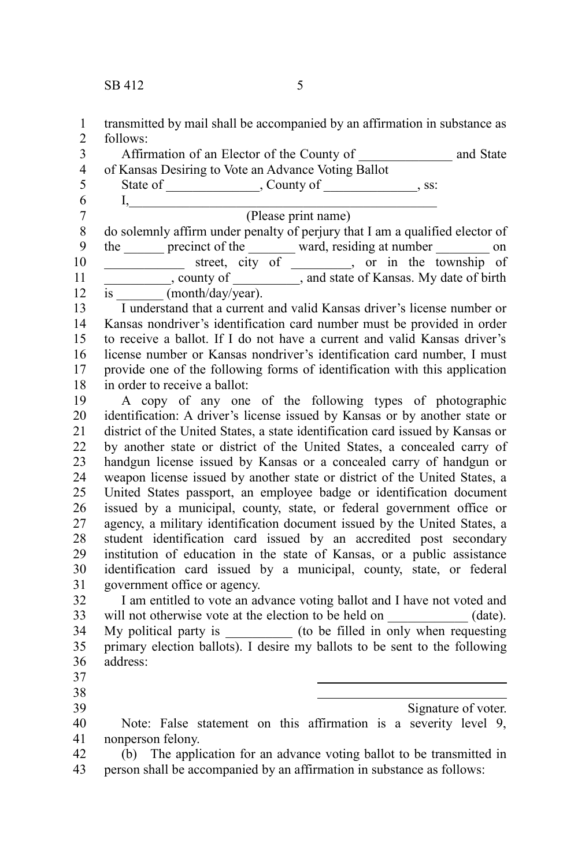transmitted by mail shall be accompanied by an affirmation in substance as follows: 1 2

Affirmation of an Elector of the County of \_\_\_\_\_\_\_\_\_\_\_\_\_\_ and State of Kansas Desiring to Vote an Advance Voting Ballot State of \_\_\_\_\_\_\_\_\_\_\_\_, County of \_\_\_\_\_\_\_\_\_\_\_\_, ss:  $I, \_\_$ (Please print name) do solemnly affirm under penalty of perjury that I am a qualified elector of the <u>sectement</u> precinct of the secteor ward, residing at number secteor on street, city of , or in the township of \_\_\_\_\_\_\_\_\_\_, county of \_\_\_\_\_\_\_\_\_\_, and state of Kansas. My date of birth  $\overline{\text{is}}$  (month/day/year). I understand that a current and valid Kansas driver's license number or Kansas nondriver's identification card number must be provided in order to receive a ballot. If I do not have a current and valid Kansas driver's license number or Kansas nondriver's identification card number, I must provide one of the following forms of identification with this application in order to receive a ballot: A copy of any one of the following types of photographic identification: A driver's license issued by Kansas or by another state or district of the United States, a state identification card issued by Kansas or by another state or district of the United States, a concealed carry of handgun license issued by Kansas or a concealed carry of handgun or weapon license issued by another state or district of the United States, a United States passport, an employee badge or identification document issued by a municipal, county, state, or federal government office or agency, a military identification document issued by the United States, a student identification card issued by an accredited post secondary institution of education in the state of Kansas, or a public assistance identification card issued by a municipal, county, state, or federal government office or agency. I am entitled to vote an advance voting ballot and I have not voted and will not otherwise vote at the election to be held on \_\_\_\_\_\_\_\_\_\_\_\_ (date). My political party is \_\_\_\_\_\_\_\_\_\_ (to be filled in only when requesting primary election ballots). I desire my ballots to be sent to the following address:  $\overline{a}$  $\overline{a}$ Signature of voter. Note: False statement on this affirmation is a severity level 9, nonperson felony. 3 4 5 6 7 8 9 10 11 12 13 14 15 16 17 18 19 20 21 22 23 24 25 26 27 28 29 30 31 32 33 34 35 36 37 38 39 40 41

(b) The application for an advance voting ballot to be transmitted in person shall be accompanied by an affirmation in substance as follows: 42 43